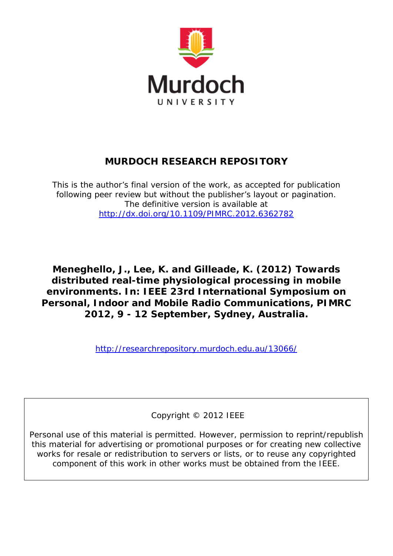

# **MURDOCH RESEARCH REPOSITORY**

*This is the author's final version of the work, as accepted for publication following peer review but without the publisher's layout or pagination. The definitive version is available at* <http://dx.doi.org/10.1109/PIMRC.2012.6362782>

**Meneghello, J., Lee, K. and Gilleade, K. (2012)** *Towards distributed real-time physiological processing in mobile environments.* **In: IEEE 23rd International Symposium on Personal, Indoor and Mobile Radio Communications, PIMRC 2012, 9 - 12 September, Sydney, Australia.**

<http://researchrepository.murdoch.edu.au/13066/>

Copyright © 2012 IEEE

Personal use of this material is permitted. However, permission to reprint/republish this material for advertising or promotional purposes or for creating new collective works for resale or redistribution to servers or lists, or to reuse any copyrighted component of this work in other works must be obtained from the IEEE.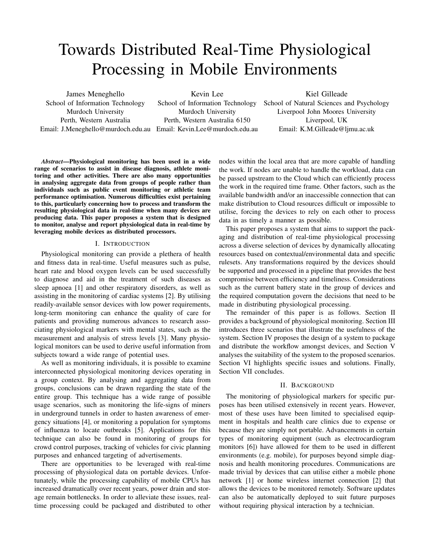# Towards Distributed Real-Time Physiological Processing in Mobile Environments

James Meneghello School of Information Technology Murdoch University Perth, Western Australia

Kevin Lee

Email: J.Meneghello@murdoch.edu.au Email: Kevin.Lee@murdoch.edu.au School of Information Technology Murdoch University Perth, Western Australia 6150

Kiel Gilleade School of Natural Sciences and Psychology Liverpool John Moores University

> Liverpool, UK Email: K.M.Gilleade@ljmu.ac.uk

*Abstract*—Physiological monitoring has been used in a wide range of scenarios to assist in disease diagnosis, athlete monitoring and other activities. There are also many opportunities in analysing aggregate data from groups of people rather than individuals such as public event monitoring or athletic team performance optimisation. Numerous difficulties exist pertaining to this, particularly concerning how to process and transform the resulting physiological data in real-time when many devices are producing data. This paper proposes a system that is designed to monitor, analyse and report physiological data in real-time by leveraging mobile devices as distributed processors.

#### I. INTRODUCTION

Physiological monitoring can provide a plethera of health and fitness data in real-time. Useful measures such as pulse, heart rate and blood oxygen levels can be used successfully to diagnose and aid in the treatment of such diseases as sleep apnoea [1] and other respiratory disorders, as well as assisting in the monitoring of cardiac systems [2]. By utilising readily-available sensor devices with low power requirements, long-term monitoring can enhance the quality of care for patients and providing numerous advances to research associating physiological markers with mental states, such as the measurement and analysis of stress levels [3]. Many physiological monitors can be used to derive useful information from subjects toward a wide range of potential uses.

As well as monitoring individuals, it is possible to examine interconnected physiological monitoring devices operating in a group context. By analysing and aggregating data from groups, conclusions can be drawn regarding the state of the entire group. This technique has a wide range of possible usage scenarios, such as monitoring the life-signs of miners in underground tunnels in order to hasten awareness of emergency situations [4], or monitoring a population for symptoms of influenza to locate outbreaks [5]. Applications for this technique can also be found in monitoring of groups for crowd control purposes, tracking of vehicles for civic planning purposes and enhanced targeting of advertisements.

There are opportunities to be leveraged with real-time processing of physiological data on portable devices. Unfortunately, while the processing capability of mobile CPUs has increased dramatically over recent years, power drain and storage remain bottlenecks. In order to alleviate these issues, realtime processing could be packaged and distributed to other nodes within the local area that are more capable of handling the work. If nodes are unable to handle the workload, data can be passed upstream to the Cloud which can efficiently process the work in the required time frame. Other factors, such as the available bandwidth and/or an inaccessible connection that can make distribution to Cloud resources difficult or impossible to utilise, forcing the devices to rely on each other to process data in as timely a manner as possible.

This paper proposes a system that aims to support the packaging and distribution of real-time physiological processing across a diverse selection of devices by dynamically allocating resources based on contextual/environmental data and specific rulesets. Any transformations required by the devices should be supported and processed in a pipeline that provides the best compromise between efficiency and timeliness. Considerations such as the current battery state in the group of devices and the required computation govern the decisions that need to be made in distributing physiological processing.

The remainder of this paper is as follows. Section II provides a background of physiological monitoring. Section III introduces three scenarios that illustrate the usefulness of the system. Section IV proposes the design of a system to package and distribute the workflow amongst devices, and Section V analyses the suitability of the system to the proposed scenarios. Section VI highlights specific issues and solutions. Finally, Section VII concludes.

#### II. BACKGROUND

The monitoring of physiological markers for specific purposes has been utilised extensively in recent years. However, most of these uses have been limited to specialised equipment in hospitals and health care clinics due to expense or because they are simply not portable. Advancements in certain types of monitoring equipment (such as electrocardiogram monitors [6]) have allowed for them to be used in different environments (e.g. mobile), for purposes beyond simple diagnosis and health monitoring procedures. Communications are made trivial by devices that can utilise either a mobile phone network [1] or home wireless internet connection [2] that allows the devices to be monitored remotely. Software updates can also be automatically deployed to suit future purposes without requiring physical interaction by a technician.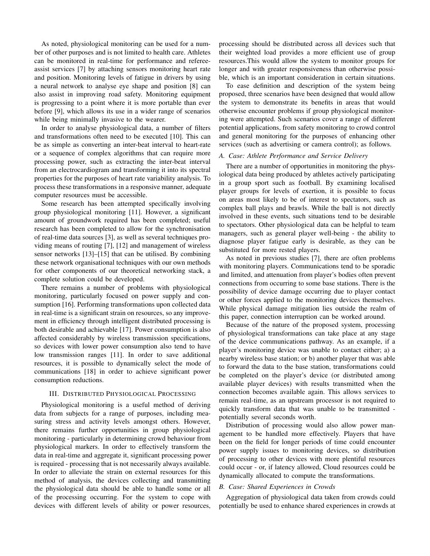As noted, physiological monitoring can be used for a number of other purposes and is not limited to health care. Athletes can be monitored in real-time for performance and refereeassist services [7] by attaching sensors monitoring heart rate and position. Monitoring levels of fatigue in drivers by using a neural network to analyse eye shape and position [8] can also assist in improving road safety. Monitoring equipment is progressing to a point where it is more portable than ever before [9], which allows its use in a wider range of scenarios while being minimally invasive to the wearer.

In order to analyse physiological data, a number of filters and transformations often need to be executed [10]. This can be as simple as converting an inter-beat interval to heart-rate or a sequence of complex algorithms that can require more processing power, such as extracting the inter-beat interval from an electrocardiogram and transforming it into its spectral properties for the purposes of heart rate variability analysis. To process these transformations in a responsive manner, adequate computer resources must be accessible.

Some research has been attempted specifically involving group physiological monitoring [11]. However, a significant amount of groundwork required has been completed; useful research has been completed to allow for the synchronisation of real-time data sources [3], as well as several techniques providing means of routing [7], [12] and management of wireless sensor networks [13]–[15] that can be utilised. By combining these network organisational techniques with our own methods for other components of our theoretical networking stack, a complete solution could be developed.

There remains a number of problems with physiological monitoring, particularly focused on power supply and consumption [16]. Performing transformations upon collected data in real-time is a significant strain on resources, so any improvement in efficiency through intelligent distributed processing is both desirable and achievable [17]. Power consumption is also affected considerably by wireless transmission specifications, so devices with lower power consumption also tend to have low transmission ranges [11]. In order to save additional resources, it is possible to dynamically select the mode of communications [18] in order to achieve significant power consumption reductions.

#### III. DISTRIBUTED PHYSIOLOGICAL PROCESSING

Physiological monitoring is a useful method of deriving data from subjects for a range of purposes, including measuring stress and activity levels amongst others. However, there remains further opportunities in group physiological monitoring - particularly in determining crowd behaviour from physiological markers. In order to effectively transform the data in real-time and aggregate it, significant processing power is required - processing that is not necessarily always available. In order to alleviate the strain on external resources for this method of analysis, the devices collecting and transmitting the physiological data should be able to handle some or all of the processing occurring. For the system to cope with devices with different levels of ability or power resources,

processing should be distributed across all devices such that their weighted load provides a more efficient use of group resources.This would allow the system to monitor groups for longer and with greater responsiveness than otherwise possible, which is an important consideration in certain situations.

To ease definition and description of the system being proposed, three scenarios have been designed that would allow the system to demonstrate its benefits in areas that would otherwise encounter problems if group physiological monitoring were attempted. Such scenarios cover a range of different potential applications, from safety monitoring to crowd control and general monitoring for the purposes of enhancing other services (such as advertising or camera control); as follows.

#### *A. Case: Athlete Performance and Service Delivery*

There are a number of opportunities in monitoring the physiological data being produced by athletes actively participating in a group sport such as football. By examining localised player groups for levels of exertion, it is possible to focus on areas most likely to be of interest to spectators, such as complex ball plays and brawls. While the ball is not directly involved in these events, such situations tend to be desirable to spectators. Other physiological data can be helpful to team managers, such as general player well-being - the ability to diagnose player fatigue early is desirable, as they can be substituted for more rested players.

As noted in previous studies [7], there are often problems with monitoring players. Communications tend to be sporadic and limited, and attenuation from player's bodies often prevent connections from occurring to some base stations. There is the possibility of device damage occurring due to player contact or other forces applied to the monitoring devices themselves. While physical damage mitigation lies outside the realm of this paper, connection interruption can be worked around.

Because of the nature of the proposed system, processing of physiological transformations can take place at any stage of the device communications pathway. As an example, if a player's monitoring device was unable to contact either; a) a nearby wireless base station; or b) another player that was able to forward the data to the base station, transformations could be completed on the player's device (or distributed among available player devices) with results transmitted when the connection becomes available again. This allows services to remain real-time, as an upstream processor is not required to quickly transform data that was unable to be transmitted potentially several seconds worth.

Distribution of processing would also allow power management to be handled more effectively. Players that have been on the field for longer periods of time could encounter power supply issues to monitoring devices, so distribution of processing to other devices with more plentiful resources could occur - or, if latency allowed, Cloud resources could be dynamically allocated to compute the transformations.

### *B. Case: Shared Experiences in Crowds*

Aggregation of physiological data taken from crowds could potentially be used to enhance shared experiences in crowds at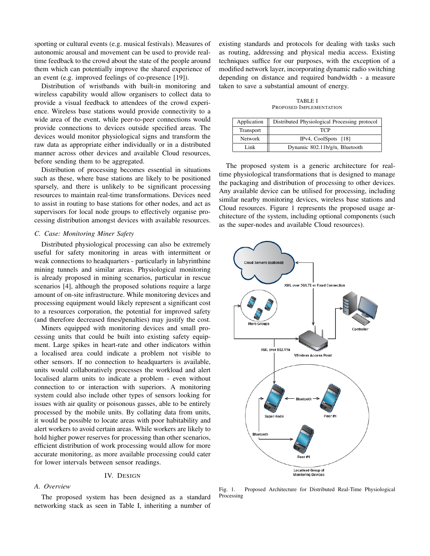sporting or cultural events (e.g. musical festivals). Measures of autonomic arousal and movement can be used to provide realtime feedback to the crowd about the state of the people around them which can potentially improve the shared experience of an event (e.g. improved feelings of co-presence [19]).

Distribution of wristbands with built-in monitoring and wireless capability would allow organisers to collect data to provide a visual feedback to attendees of the crowd experience. Wireless base stations would provide connectivity to a wide area of the event, while peer-to-peer connections would provide connections to devices outside specified areas. The devices would monitor physiological signs and transform the raw data as appropriate either individually or in a distributed manner across other devices and available Cloud resources, before sending them to be aggregated.

Distribution of processing becomes essential in situations such as these, where base stations are likely to be positioned sparsely, and there is unlikely to be significant processing resources to maintain real-time transformations. Devices need to assist in routing to base stations for other nodes, and act as supervisors for local node groups to effectively organise processing distribution amongst devices with available resources.

# *C. Case: Monitoring Miner Safety*

Distributed physiological processing can also be extremely useful for safety monitoring in areas with intermittent or weak connections to headquarters - particularly in labyrinthine mining tunnels and similar areas. Physiological monitoring is already proposed in mining scenarios, particular in rescue scenarios [4], although the proposed solutions require a large amount of on-site infrastructure. While monitoring devices and processing equipment would likely represent a significant cost to a resources corporation, the potential for improved safety (and therefore decreased fines/penalties) may justify the cost.

Miners equipped with monitoring devices and small processing units that could be built into existing safety equipment. Large spikes in heart-rate and other indicators within a localised area could indicate a problem not visible to other sensors. If no connection to headquarters is available, units would collaboratively processes the workload and alert localised alarm units to indicate a problem - even without connection to or interaction with superiors. A monitoring system could also include other types of sensors looking for issues with air quality or poisonous gasses, able to be entirely processed by the mobile units. By collating data from units, it would be possible to locate areas with poor habitability and alert workers to avoid certain areas. While workers are likely to hold higher power reserves for processing than other scenarios, efficient distribution of work processing would allow for more accurate monitoring, as more available processing could cater for lower intervals between sensor readings.

#### IV. DESIGN

# *A. Overview*

The proposed system has been designed as a standard networking stack as seen in Table I, inheriting a number of existing standards and protocols for dealing with tasks such as routing, addressing and physical media access. Existing techniques suffice for our purposes, with the exception of a modified network layer, incorporating dynamic radio switching depending on distance and required bandwidth - a measure taken to save a substantial amount of energy.

TABLE I PROPOSED IMPLEMENTATION

| Application      | Distributed Physiological Processing protocol |
|------------------|-----------------------------------------------|
| <b>Transport</b> | TCP                                           |
| <b>Network</b>   | IPv4, CoolSpots $[18]$                        |
| Link             | Dynamic 802.11b/g/n, Bluetooth                |

The proposed system is a generic architecture for realtime physiological transformations that is designed to manage the packaging and distribution of processing to other devices. Any available device can be utilised for processing, including similar nearby monitoring devices, wireless base stations and Cloud resources. Figure 1 represents the proposed usage architecture of the system, including optional components (such as the super-nodes and available Cloud resources).



Fig. 1. Proposed Architecture for Distributed Real-Time Physiological Processing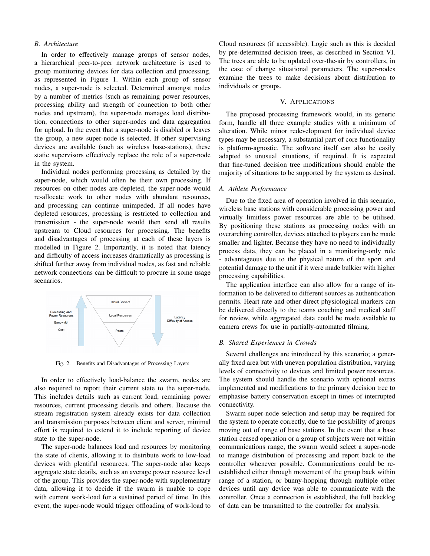#### *B. Architecture*

In order to effectively manage groups of sensor nodes, a hierarchical peer-to-peer network architecture is used to group monitoring devices for data collection and processing, as represented in Figure 1. Within each group of sensor nodes, a super-node is selected. Determined amongst nodes by a number of metrics (such as remaining power resources, processing ability and strength of connection to both other nodes and upstream), the super-node manages load distribution, connections to other super-nodes and data aggregation for upload. In the event that a super-node is disabled or leaves the group, a new super-node is selected. If other supervising devices are available (such as wireless base-stations), these static supervisors effectively replace the role of a super-node in the system.

Individual nodes performing processing as detailed by the super-node, which would often be their own processing. If resources on other nodes are depleted, the super-node would re-allocate work to other nodes with abundant resources, and processing can continue unimpeded. If all nodes have depleted resources, processing is restricted to collection and transmission - the super-node would then send all results upstream to Cloud resources for processing. The benefits and disadvantages of processing at each of these layers is modelled in Figure 2. Importantly, it is noted that latency and difficulty of access increases dramatically as processing is shifted further away from individual nodes, as fast and reliable network connections can be difficult to procure in some usage scenarios.



Fig. 2. Benefits and Disadvantages of Processing Layers

In order to effectively load-balance the swarm, nodes are also required to report their current state to the super-node. This includes details such as current load, remaining power resources, current processing details and others. Because the stream registration system already exists for data collection and transmission purposes between client and server, minimal effort is required to extend it to include reporting of device state to the super-node.

The super-node balances load and resources by monitoring the state of clients, allowing it to distribute work to low-load devices with plentiful resources. The super-node also keeps aggregate state details, such as an average power resource level of the group. This provides the super-node with supplementary data, allowing it to decide if the swarm is unable to cope with current work-load for a sustained period of time. In this event, the super-node would trigger offloading of work-load to

Cloud resources (if accessible). Logic such as this is decided by pre-determined decision trees, as described in Section VI. The trees are able to be updated over-the-air by controllers, in the case of change situational parameters. The super-nodes examine the trees to make decisions about distribution to individuals or groups.

#### V. APPLICATIONS

The proposed processing framework would, in its generic form, handle all three example studies with a minimum of alteration. While minor redevelopment for individual device types may be necessary, a substantial part of core functionality is platform-agnostic. The software itself can also be easily adapted to unusual situations, if required. It is expected that fine-tuned decision tree modifications should enable the majority of situations to be supported by the system as desired.

#### *A. Athlete Performance*

Due to the fixed area of operation involved in this scenario, wireless base stations with considerable processing power and virtually limitless power resources are able to be utilised. By positioning these stations as processing nodes with an overarching controller, devices attached to players can be made smaller and lighter. Because they have no need to individually process data, they can be placed in a monitoring-only role - advantageous due to the physical nature of the sport and potential damage to the unit if it were made bulkier with higher processing capabilities.

The application interface can also allow for a range of information to be delivered to different sources as authentication permits. Heart rate and other direct physiological markers can be delivered directly to the teams coaching and medical staff for review, while aggregated data could be made available to camera crews for use in partially-automated filming.

#### *B. Shared Experiences in Crowds*

Several challenges are introduced by this scenario; a generally fixed area but with uneven population distribution, varying levels of connectivity to devices and limited power resources. The system should handle the scenario with optional extras implemented and modifications to the primary decision tree to emphasise battery conservation except in times of interrupted connectivity.

Swarm super-node selection and setup may be required for the system to operate correctly, due to the possibility of groups moving out of range of base stations. In the event that a base station ceased operation or a group of subjects were not within communications range, the swarm would select a super-node to manage distribution of processing and report back to the controller whenever possible. Communications could be reestablished either through movement of the group back within range of a station, or bunny-hopping through multiple other devices until any device was able to communicate with the controller. Once a connection is established, the full backlog of data can be transmitted to the controller for analysis.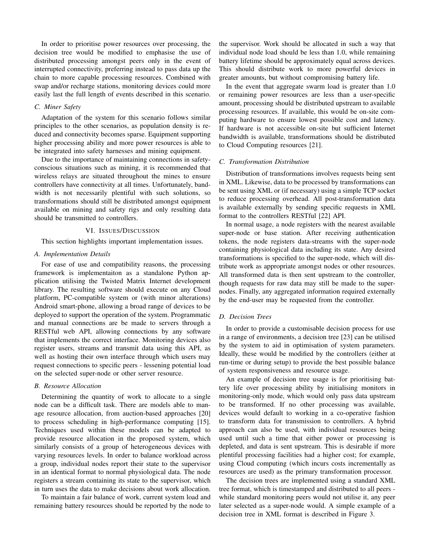In order to prioritise power resources over processing, the decision tree would be modified to emphasise the use of distributed processing amongst peers only in the event of interrupted connectivity, preferring instead to pass data up the chain to more capable processing resources. Combined with swap and/or recharge stations, monitoring devices could more easily last the full length of events described in this scenario.

### *C. Miner Safety*

Adaptation of the system for this scenario follows similar principles to the other scenarios, as population density is reduced and connectivity becomes sparse. Equipment supporting higher processing ability and more power resources is able to be integrated into safety harnesses and mining equipment.

Due to the importance of maintaining connections in safetyconscious situations such as mining, it is recommended that wireless relays are situated throughout the mines to ensure controllers have connectivity at all times. Unfortunately, bandwidth is not necessarily plentiful with such solutions, so transformations should still be distributed amongst equipment available on mining and safety rigs and only resulting data should be transmitted to controllers.

# VI. ISSUES/DISCUSSION

This section highlights important implementation issues.

#### *A. Implementation Details*

For ease of use and compatibility reasons, the processing framework is implementaiton as a standalone Python application utilising the Twisted Matrix Internet development library. The resulting software should execute on any Cloud platform, PC-compatible system or (with minor alterations) Android smart-phone, allowing a broad range of devices to be deployed to support the operation of the system. Programmatic and manual connections are be made to servers through a RESTful web API, allowing connections by any software that implements the correct interface. Monitoring devices also register users, streams and transmit data using this API, as well as hosting their own interface through which users may request connections to specific peers - lessening potential load on the selected super-node or other server resource.

#### *B. Resource Allocation*

Determining the quantity of work to allocate to a single node can be a difficult task. There are models able to manage resource allocation, from auction-based approaches [20] to process scheduling in high-performance computing [15]. Techniques used within these models can be adapted to provide resource allocation in the proposed system, which similarly consists of a group of heterogeneous devices with varying resources levels. In order to balance workload across a group, individual nodes report their state to the supervisor in an identical format to normal physiological data. The node registers a stream containing its state to the supervisor, which in turn uses the data to make decisions about work allocation.

To maintain a fair balance of work, current system load and remaining battery resources should be reported by the node to the supervisor. Work should be allocated in such a way that individual node load should be less than 1.0, while remaining battery lifetime should be approximately equal across devices. This should distribute work to more powerful devices in greater amounts, but without compromising battery life.

In the event that aggregate swarm load is greater than 1.0 or remaining power resources are less than a user-specific amount, processing should be distributed upstream to available processing resources. If available, this would be on-site computing hardware to ensure lowest possible cost and latency. If hardware is not accessible on-site but sufficient Internet bandwidth is available, transformations should be distributed to Cloud Computing resources [21].

#### *C. Transformation Distribution*

Distribution of transformations involves requests being sent in XML. Likewise, data to be processed by transformations can be sent using XML or (if necessary) using a simple TCP socket to reduce processing overhead. All post-transformation data is available externally by sending specific requests in XML format to the controllers RESTful [22] API.

In normal usage, a node registers with the nearest available super-node or base station. After receiving authentication tokens, the node registers data-streams with the super-node containing physiological data including its state. Any desired transformations is specified to the super-node, which will distribute work as appropriate amongst nodes or other resources. All transformed data is then sent upstream to the controller, though requests for raw data may still be made to the supernodes. Finally, any aggregated information required externally by the end-user may be requested from the controller.

# *D. Decision Trees*

In order to provide a customisable decision process for use in a range of environments, a decision tree [23] can be utilised by the system to aid in optimisation of system parameters. Ideally, these would be modified by the controllers (either at run-time or during setup) to provide the best possible balance of system responsiveness and resource usage.

An example of decision tree usage is for prioritising battery life over processing ability by initialising monitors in monitoring-only mode, which would only pass data upstream to be transformed. If no other processing was available, devices would default to working in a co-operative fashion to transform data for transmission to controllers. A hybrid approach can also be used, with individual resources being used until such a time that either power or processing is depleted, and data is sent upstream. This is desirable if more plentiful processing facilities had a higher cost; for example, using Cloud computing (which incurs costs incrementally as resources are used) as the primary transformation processor.

The decision trees are implemented using a standard XML tree format, which is timestamped and distributed to all peers while standard monitoring peers would not utilise it, any peer later selected as a super-node would. A simple example of a decision tree in XML format is described in Figure 3.